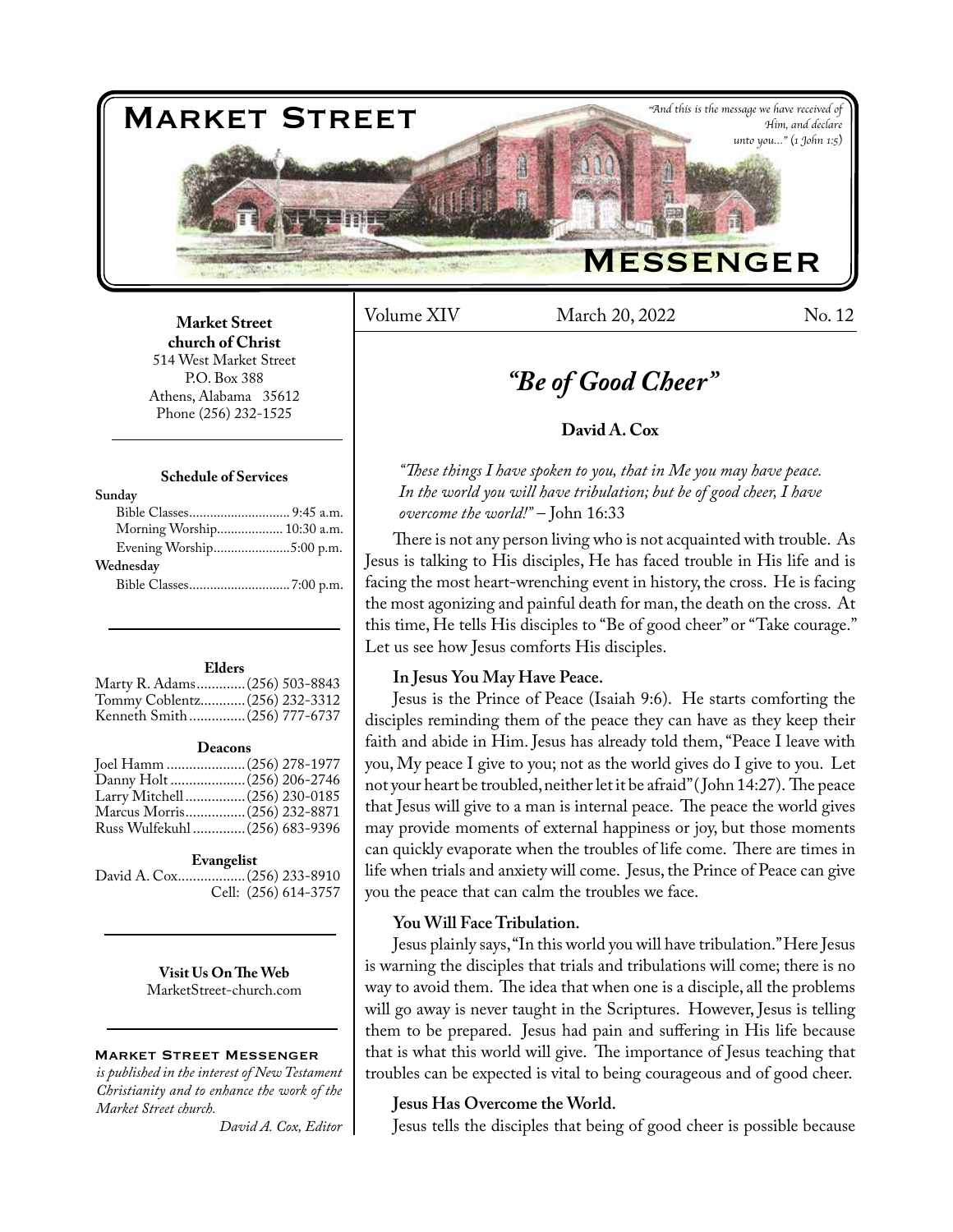

Volume XIV March 20, 2022 No. 12

## **Market Street church of Christ**  514 West Market Street P.O. Box 388 Athens, Alabama 35612 Phone (256) 232-1525

#### **Schedule of Services**

| Sunday                     |  |
|----------------------------|--|
|                            |  |
| Morning Worship 10:30 a.m. |  |
| Evening Worship5:00 p.m.   |  |
| Wednesday                  |  |
|                            |  |
|                            |  |

#### **Elders**

| Marty R. Adams (256) 503-8843 |  |
|-------------------------------|--|
| Tommy Coblentz (256) 232-3312 |  |
| Kenneth Smith(256) 777-6737   |  |
|                               |  |

#### **Deacons**

| Joel Hamm  (256) 278-1977      |
|--------------------------------|
|                                |
| Larry Mitchell  (256) 230-0185 |
| Marcus Morris (256) 232-8871   |
| Russ Wulfekuhl  (256) 683-9396 |
|                                |

#### **Evangelist**

David A. Cox..................(256) 233-8910 Cell: (256) 614-3757

> **Visit Us On The Web** MarketStreet-church.com

#### Market Street Messenger

*is published in the interest of New Testament Christianity and to enhance the work of the Market Street church.*

*David A. Cox, Editor*

# *"Be of Good Cheer"*

# **David A. Cox**

*"These things I have spoken to you, that in Me you may have peace. In the world you will have tribulation; but be of good cheer, I have overcome the world!"* – John 16:33

There is not any person living who is not acquainted with trouble. As Jesus is talking to His disciples, He has faced trouble in His life and is facing the most heart-wrenching event in history, the cross. He is facing the most agonizing and painful death for man, the death on the cross. At this time, He tells His disciples to "Be of good cheer" or "Take courage." Let us see how Jesus comforts His disciples.

## **In Jesus You May Have Peace.**

Jesus is the Prince of Peace (Isaiah 9:6). He starts comforting the disciples reminding them of the peace they can have as they keep their faith and abide in Him. Jesus has already told them, "Peace I leave with you, My peace I give to you; not as the world gives do I give to you. Let not your heart be troubled, neither let it be afraid" ( John 14:27). The peace that Jesus will give to a man is internal peace. The peace the world gives may provide moments of external happiness or joy, but those moments can quickly evaporate when the troubles of life come. There are times in life when trials and anxiety will come. Jesus, the Prince of Peace can give you the peace that can calm the troubles we face.

# **You Will Face Tribulation.**

Jesus plainly says, "In this world you will have tribulation." Here Jesus is warning the disciples that trials and tribulations will come; there is no way to avoid them. The idea that when one is a disciple, all the problems will go away is never taught in the Scriptures. However, Jesus is telling them to be prepared. Jesus had pain and suffering in His life because that is what this world will give. The importance of Jesus teaching that troubles can be expected is vital to being courageous and of good cheer.

## **Jesus Has Overcome the World.**

Jesus tells the disciples that being of good cheer is possible because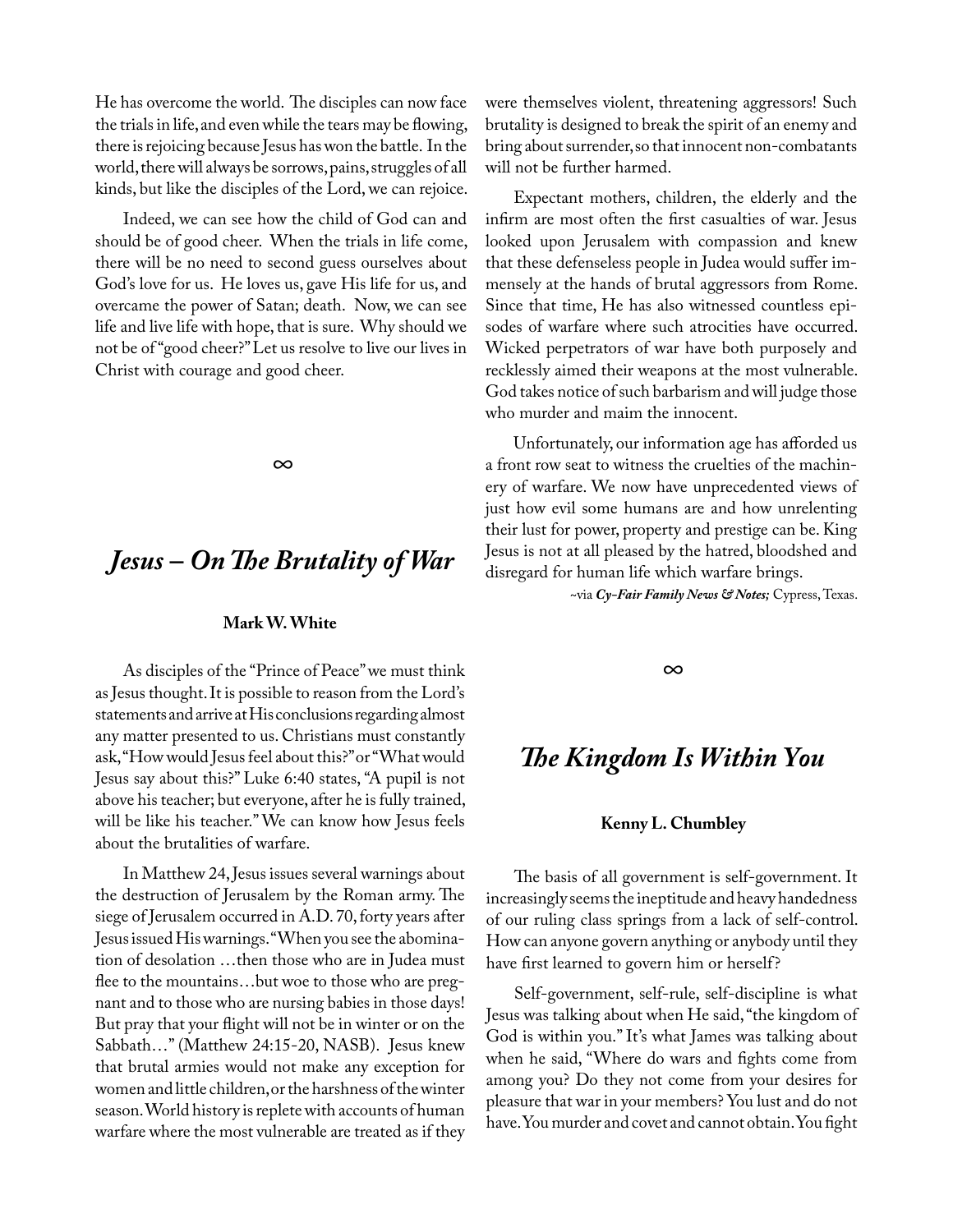He has overcome the world. The disciples can now face the trials in life, and even while the tears may be flowing, there is rejoicing because Jesus has won the battle. In the world, there will always be sorrows, pains, struggles of all kinds, but like the disciples of the Lord, we can rejoice.

Indeed, we can see how the child of God can and should be of good cheer. When the trials in life come, there will be no need to second guess ourselves about God's love for us. He loves us, gave His life for us, and overcame the power of Satan; death. Now, we can see life and live life with hope, that is sure. Why should we not be of "good cheer?" Let us resolve to live our lives in Christ with courage and good cheer.

*∞*

# *Jesus – On The Brutality of War*

# **Mark W. White**

As disciples of the "Prince of Peace" we must think as Jesus thought. It is possible to reason from the Lord's statements and arrive at His conclusions regarding almost any matter presented to us. Christians must constantly ask, "How would Jesus feel about this?" or "What would Jesus say about this?" Luke 6:40 states, "A pupil is not above his teacher; but everyone, after he is fully trained, will be like his teacher." We can know how Jesus feels about the brutalities of warfare.

In Matthew 24, Jesus issues several warnings about the destruction of Jerusalem by the Roman army. The siege of Jerusalem occurred in A.D. 70, forty years after Jesus issued His warnings. "When you see the abomination of desolation …then those who are in Judea must flee to the mountains…but woe to those who are pregnant and to those who are nursing babies in those days! But pray that your flight will not be in winter or on the Sabbath…" (Matthew 24:15-20, NASB). Jesus knew that brutal armies would not make any exception for women and little children, or the harshness of the winter season. World history is replete with accounts of human warfare where the most vulnerable are treated as if they

were themselves violent, threatening aggressors! Such brutality is designed to break the spirit of an enemy and bring about surrender, so that innocent non-combatants will not be further harmed.

Expectant mothers, children, the elderly and the infirm are most often the first casualties of war. Jesus looked upon Jerusalem with compassion and knew that these defenseless people in Judea would suffer immensely at the hands of brutal aggressors from Rome. Since that time, He has also witnessed countless episodes of warfare where such atrocities have occurred. Wicked perpetrators of war have both purposely and recklessly aimed their weapons at the most vulnerable. God takes notice of such barbarism and will judge those who murder and maim the innocent.

Unfortunately, our information age has afforded us a front row seat to witness the cruelties of the machinery of warfare. We now have unprecedented views of just how evil some humans are and how unrelenting their lust for power, property and prestige can be. King Jesus is not at all pleased by the hatred, bloodshed and disregard for human life which warfare brings.

~via *Cy-Fair Family News & Notes;* Cypress, Texas.

*∞*

# *The Kingdom Is Within You*

#### **Kenny L. Chumbley**

The basis of all government is self-government. It increasingly seems the ineptitude and heavy handedness of our ruling class springs from a lack of self-control. How can anyone govern anything or anybody until they have first learned to govern him or herself?

Self-government, self-rule, self-discipline is what Jesus was talking about when He said, "the kingdom of God is within you." It's what James was talking about when he said, "Where do wars and fights come from among you? Do they not come from your desires for pleasure that war in your members? You lust and do not have. You murder and covet and cannot obtain. You fight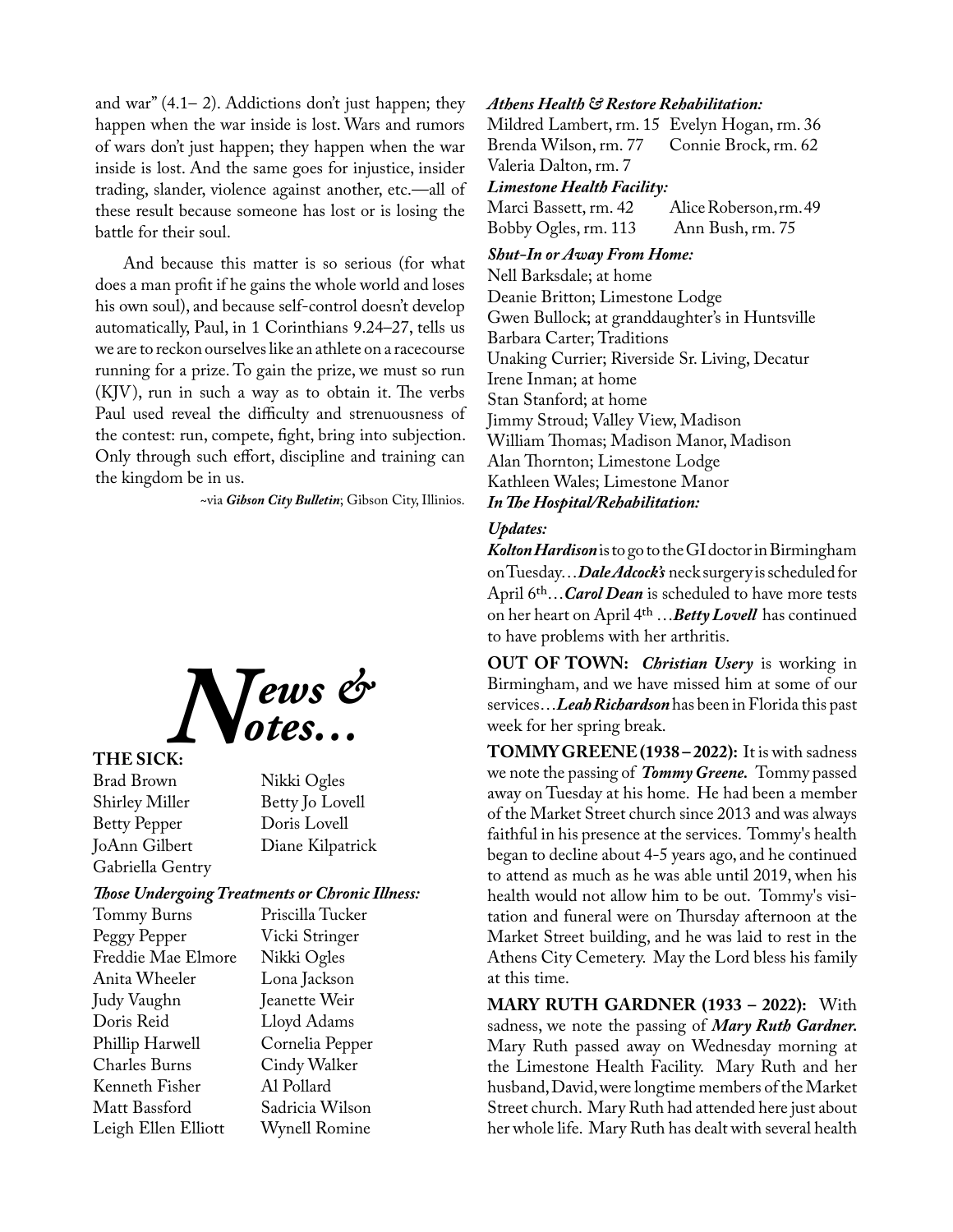and war" (4.1– 2). Addictions don't just happen; they happen when the war inside is lost. Wars and rumors of wars don't just happen; they happen when the war inside is lost. And the same goes for injustice, insider trading, slander, violence against another, etc.—all of these result because someone has lost or is losing the battle for their soul.

And because this matter is so serious (for what does a man profit if he gains the whole world and loses his own soul), and because self-control doesn't develop automatically, Paul, in 1 Corinthians 9.24–27, tells us we are to reckon ourselves like an athlete on a racecourse running for a prize. To gain the prize, we must so run (KJV), run in such a way as to obtain it. The verbs Paul used reveal the difficulty and strenuousness of the contest: run, compete, fight, bring into subjection. Only through such effort, discipline and training can the kingdom be in us.

~via *Gibson City Bulletin*; Gibson City, Illinios.



## **THE SICK:**

Brad Brown Nikki Ogles Shirley Miller Betty Jo Lovell Betty Pepper Doris Lovell Gabriella Gentry

Diane Kilpatrick

# *Those Undergoing Treatments or Chronic Illness:*

| Tommy Burns          |
|----------------------|
| Peggy Pepper         |
| Freddie Mae Elmore   |
| Anita Wheeler        |
| Judy Vaughn          |
| Doris Reid           |
| Phillip Harwell      |
| <b>Charles Burns</b> |
| Kenneth Fisher       |
| Matt Bassford        |
| Leigh Ellen Elliott  |

Priscilla Tucker Vicki Stringer Nikki Ogles Lona Jackson Jeanette Weir Lloyd Adams Cornelia Pepper Cindy Walker Al Pollard Sadricia Wilson Wynell Romine

#### *Athens Health & Restore Rehabilitation:*

Mildred Lambert, rm. 15 Evelyn Hogan, rm. 36<br>Brenda Wilson, rm. 77 Connie Brock, rm. 62 Brenda Wilson, rm. 77 Valeria Dalton, rm. 7

# *Limestone Health Facility:*

Alice Roberson, rm. 49 Bobby Ogles, rm. 113 Ann Bush, rm. 75

# *Shut-In or Away From Home:*

Nell Barksdale; at home Deanie Britton; Limestone Lodge Gwen Bullock; at granddaughter's in Huntsville Barbara Carter; Traditions Unaking Currier; Riverside Sr. Living, Decatur Irene Inman; at home Stan Stanford; at home Jimmy Stroud; Valley View, Madison William Thomas; Madison Manor, Madison Alan Thornton; Limestone Lodge Kathleen Wales; Limestone Manor *In The Hospital/Rehabilitation:*

#### *Updates:*

*Kolton Hardison* is to go to the GI doctor in Birmingham on Tuesday…*Dale Adcock's* neck surgery is scheduled for April 6th…*Carol Dean* is scheduled to have more tests on her heart on April 4th …*Betty Lovell* has continued to have problems with her arthritis.

**OUT OF TOWN:** *Christian Usery* is working in Birmingham, and we have missed him at some of our services…*Leah Richardson* has been in Florida this past week for her spring break.

**TOMMY GREENE (1938 – 2022):** It is with sadness we note the passing of *Tommy Greene.* Tommy passed away on Tuesday at his home. He had been a member of the Market Street church since 2013 and was always faithful in his presence at the services. Tommy's health began to decline about 4-5 years ago, and he continued to attend as much as he was able until 2019, when his health would not allow him to be out. Tommy's visitation and funeral were on Thursday afternoon at the Market Street building, and he was laid to rest in the Athens City Cemetery. May the Lord bless his family at this time.

**MARY RUTH GARDNER (1933 – 2022):** With sadness, we note the passing of *Mary Ruth Gardner.*  Mary Ruth passed away on Wednesday morning at the Limestone Health Facility. Mary Ruth and her husband, David, were longtime members of the Market Street church. Mary Ruth had attended here just about her whole life. Mary Ruth has dealt with several health